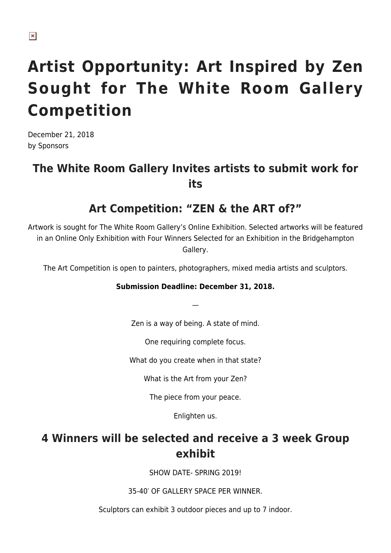# **Artist Opportunity: Art Inspired by Zen Sought for The White Room Gallery Competition**

December 21, 2018 by Sponsors

## **The White Room Gallery Invites artists to submit work for its**

#### **Art Competition: "ZEN & the ART of?"**

Artwork is sought for The White Room Gallery's Online Exhibition. Selected artworks will be featured in an Online Only Exhibition with Four Winners Selected for an Exhibition in the Bridgehampton Gallery.

The Art Competition is open to painters, photographers, mixed media artists and sculptors.

#### **Submission Deadline: December 31, 2018.**

Zen is a way of being. A state of mind.

—

One requiring complete focus.

What do you create when in that state?

What is the Art from your Zen?

The piece from your peace.

Enlighten us.

## **4 Winners will be selected and receive a 3 week Group exhibit**

SHOW DATE- SPRING 2019!

35-40′ OF GALLERY SPACE PER WINNER.

Sculptors can exhibit 3 outdoor pieces and up to 7 indoor.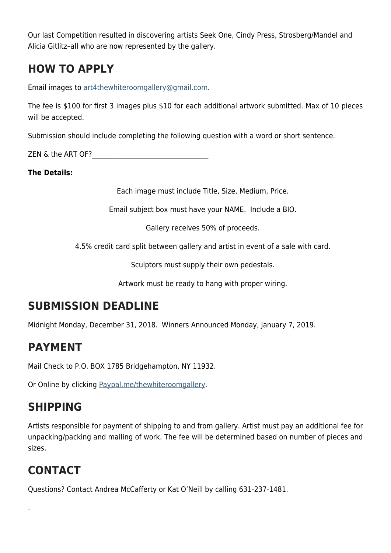Our last Competition resulted in discovering artists Seek One, Cindy Press, Strosberg/Mandel and Alicia Gitlitz–all who are now represented by the gallery.

## **HOW TO APPLY**

Email images to [art4thewhiteroomgallery@gmail.com](mailto:art4thewhiteroomgallery@gmail.com).

The fee is \$100 for first 3 images plus \$10 for each additional artwork submitted. Max of 10 pieces will be accepted.

Submission should include completing the following question with a word or short sentence.

 $ZEN \& the ART OF?$ 

**The Details:**

Each image must include Title, Size, Medium, Price.

Email subject box must have your NAME. Include a BIO.

Gallery receives 50% of proceeds.

4.5% credit card split between gallery and artist in event of a sale with card.

Sculptors must supply their own pedestals.

Artwork must be ready to hang with proper wiring.

#### **SUBMISSION DEADLINE**

Midnight Monday, December 31, 2018. Winners Announced Monday, January 7, 2019.

#### **PAYMENT**

Mail Check to P.O. BOX 1785 Bridgehampton, NY 11932.

Or Online by clicking [Paypal.me/thewhiteroomgallery.](http://paypal.me/thewhiteroomgallery)

#### **SHIPPING**

Artists responsible for payment of shipping to and from gallery. Artist must pay an additional fee for unpacking/packing and mailing of work. The fee will be determined based on number of pieces and sizes.

## **CONTACT**

.

Questions? Contact Andrea McCafferty or Kat O'Neill by calling 631-237-1481.